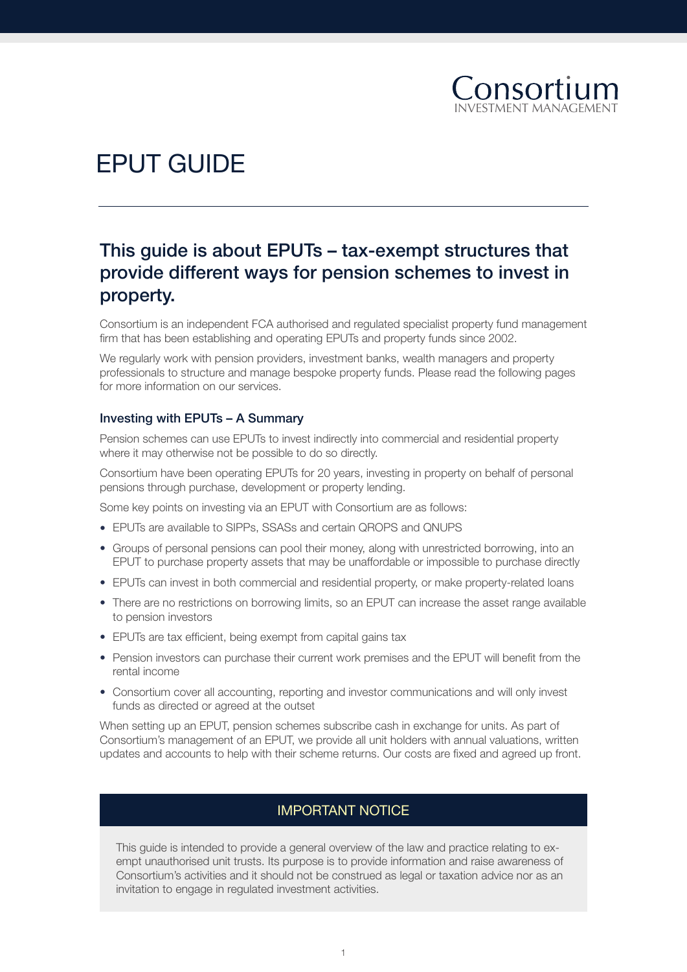

# EPUT GUIDE

## This guide is about EPUTs – tax-exempt structures that provide different ways for pension schemes to invest in property.

Consortium is an independent FCA authorised and regulated specialist property fund management firm that has been establishing and operating EPUTs and property funds since 2002.

We regularly work with pension providers, investment banks, wealth managers and property professionals to structure and manage bespoke property funds. Please read the following pages for more information on our services.

#### Investing with EPUTs – A Summary

Pension schemes can use EPUTs to invest indirectly into commercial and residential property where it may otherwise not be possible to do so directly.

Consortium have been operating EPUTs for 20 years, investing in property on behalf of personal pensions through purchase, development or property lending.

Some key points on investing via an EPUT with Consortium are as follows:

- EPUTs are available to SIPPs, SSASs and certain QROPS and QNUPS
- Groups of personal pensions can pool their money, along with unrestricted borrowing, into an EPUT to purchase property assets that may be unaffordable or impossible to purchase directly
- EPUTs can invest in both commercial and residential property, or make property-related loans
- There are no restrictions on borrowing limits, so an EPUT can increase the asset range available to pension investors
- EPUTs are tax efficient, being exempt from capital gains tax
- Pension investors can purchase their current work premises and the EPUT will benefit from the rental income
- Consortium cover all accounting, reporting and investor communications and will only invest funds as directed or agreed at the outset

When setting up an EPUT, pension schemes subscribe cash in exchange for units. As part of Consortium's management of an EPUT, we provide all unit holders with annual valuations, written updates and accounts to help with their scheme returns. Our costs are fixed and agreed up front.

## IMPORTANT NOTICE

This guide is intended to provide a general overview of the law and practice relating to exempt unauthorised unit trusts. Its purpose is to provide information and raise awareness of Consortium's activities and it should not be construed as legal or taxation advice nor as an invitation to engage in regulated investment activities.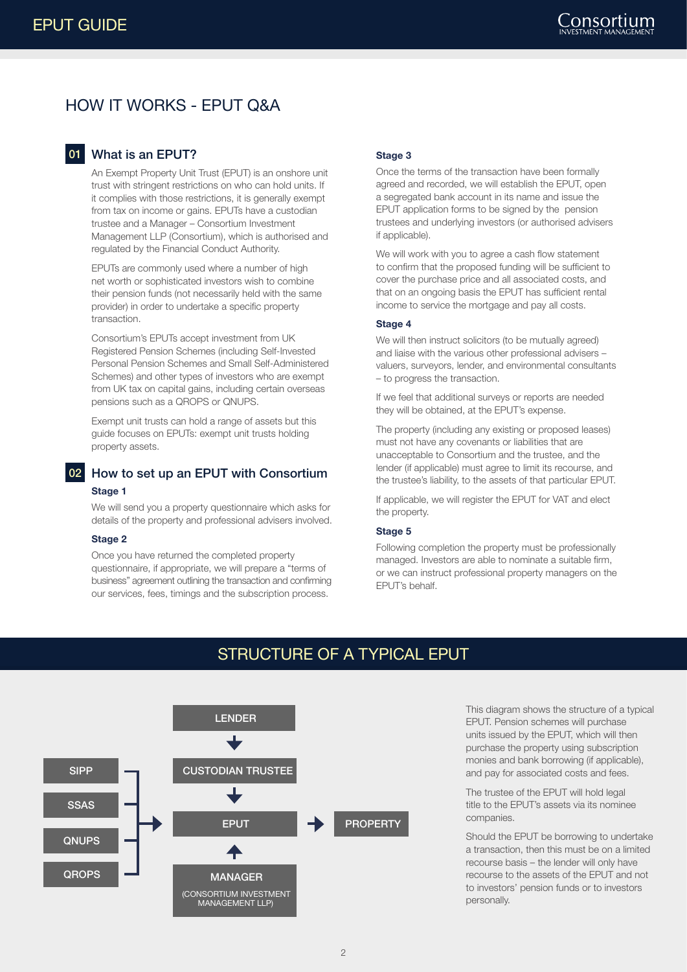## HOW IT WORKS - EPUT Q&A

## 01 What is an EPUT?

An Exempt Property Unit Trust (EPUT) is an onshore unit trust with stringent restrictions on who can hold units. If it complies with those restrictions, it is generally exempt from tax on income or gains. EPUTs have a custodian trustee and a Manager – Consortium Investment Management LLP (Consortium), which is authorised and regulated by the Financial Conduct Authority.

EPUTs are commonly used where a number of high net worth or sophisticated investors wish to combine their pension funds (not necessarily held with the same provider) in order to undertake a specific property transaction.

Consortium's EPUTs accept investment from UK Registered Pension Schemes (including Self-Invested Personal Pension Schemes and Small Self-Administered Schemes) and other types of investors who are exempt from UK tax on capital gains, including certain overseas pensions such as a QROPS or QNUPS.

Exempt unit trusts can hold a range of assets but this guide focuses on EPUTs: exempt unit trusts holding property assets.

## 02 How to set up an EPUT with Consortium **Stage 1**

We will send you a property questionnaire which asks for details of the property and professional advisers involved.

#### **Stage 2**

Once you have returned the completed property questionnaire, if appropriate, we will prepare a "terms of business" agreement outlining the transaction and confirming our services, fees, timings and the subscription process.

#### **Stage 3**

Once the terms of the transaction have been formally agreed and recorded, we will establish the EPUT, open a segregated bank account in its name and issue the EPUT application forms to be signed by the pension trustees and underlying investors (or authorised advisers if applicable).

We will work with you to agree a cash flow statement to confirm that the proposed funding will be sufficient to cover the purchase price and all associated costs, and that on an ongoing basis the EPUT has sufficient rental income to service the mortgage and pay all costs.

#### **Stage 4**

We will then instruct solicitors (to be mutually agreed) and liaise with the various other professional advisers – valuers, surveyors, lender, and environmental consultants – to progress the transaction.

If we feel that additional surveys or reports are needed they will be obtained, at the EPUT's expense.

The property (including any existing or proposed leases) must not have any covenants or liabilities that are unacceptable to Consortium and the trustee, and the lender (if applicable) must agree to limit its recourse, and the trustee's liability, to the assets of that particular EPUT.

If applicable, we will register the EPUT for VAT and elect the property.

#### **Stage 5**

Following completion the property must be professionally managed. Investors are able to nominate a suitable firm, or we can instruct professional property managers on the EPUT's behalf.



## STRUCTURE OF A TYPICAL EPUT

This diagram shows the structure of a typical EPUT. Pension schemes will purchase units issued by the EPUT, which will then purchase the property using subscription monies and bank borrowing (if applicable), and pay for associated costs and fees.

The trustee of the FPUT will hold legal title to the EPUT's assets via its nominee companies.

Should the EPUT be borrowing to undertake a transaction, then this must be on a limited recourse basis – the lender will only have recourse to the assets of the EPUT and not to investors' pension funds or to investors personally.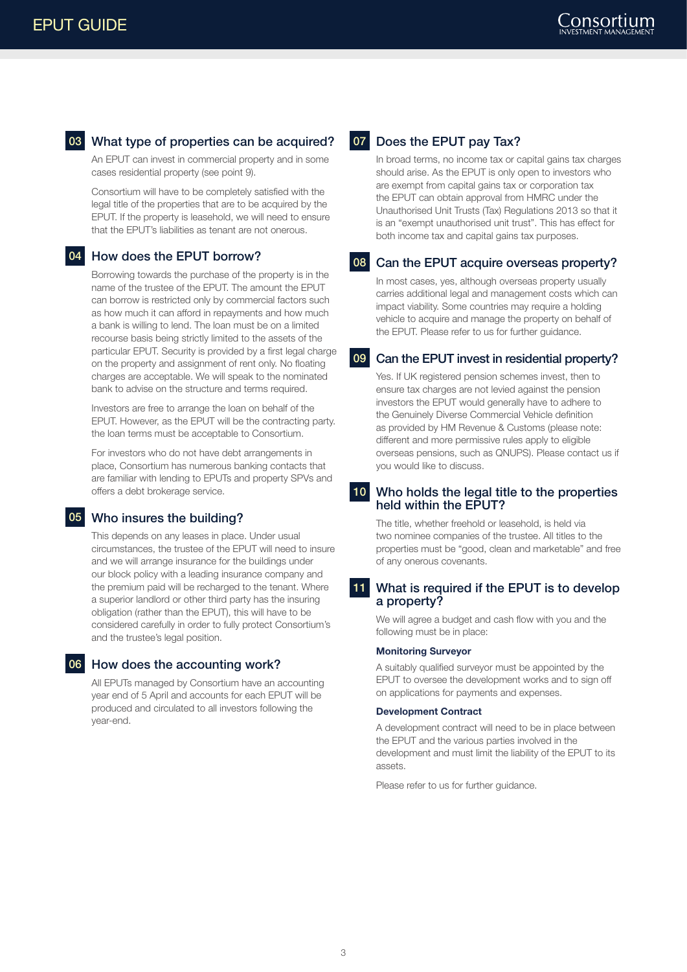## 03 What type of properties can be acquired?

An EPUT can invest in commercial property and in some cases residential property (see point 9).

Consortium will have to be completely satisfied with the legal title of the properties that are to be acquired by the EPUT. If the property is leasehold, we will need to ensure that the EPUT's liabilities as tenant are not onerous.

### 04 How does the EPUT borrow?

Borrowing towards the purchase of the property is in the name of the trustee of the EPUT. The amount the EPUT can borrow is restricted only by commercial factors such as how much it can afford in repayments and how much a bank is willing to lend. The loan must be on a limited recourse basis being strictly limited to the assets of the particular EPUT. Security is provided by a first legal charge on the property and assignment of rent only. No floating charges are acceptable. We will speak to the nominated bank to advise on the structure and terms required.

Investors are free to arrange the loan on behalf of the EPUT. However, as the EPUT will be the contracting party. the loan terms must be acceptable to Consortium.

For investors who do not have debt arrangements in place, Consortium has numerous banking contacts that are familiar with lending to EPUTs and property SPVs and offers a debt brokerage service.

#### 05 Who insures the building?

This depends on any leases in place. Under usual circumstances, the trustee of the EPUT will need to insure and we will arrange insurance for the buildings under our block policy with a leading insurance company and the premium paid will be recharged to the tenant. Where a superior landlord or other third party has the insuring obligation (rather than the EPUT), this will have to be considered carefully in order to fully protect Consortium's and the trustee's legal position.

#### 06 How does the accounting work?

All EPUTs managed by Consortium have an accounting year end of 5 April and accounts for each EPUT will be produced and circulated to all investors following the year-end.

## 07 Does the EPUT pay Tax?

In broad terms, no income tax or capital gains tax charges should arise. As the EPUT is only open to investors who are exempt from capital gains tax or corporation tax the EPUT can obtain approval from HMRC under the Unauthorised Unit Trusts (Tax) Regulations 2013 so that it is an "exempt unauthorised unit trust". This has effect for both income tax and capital gains tax purposes.

#### 08 Can the EPUT acquire overseas property?

In most cases, yes, although overseas property usually carries additional legal and management costs which can impact viability. Some countries may require a holding vehicle to acquire and manage the property on behalf of the EPUT. Please refer to us for further guidance.

#### 09 Can the EPUT invest in residential property?

Yes. If UK registered pension schemes invest, then to ensure tax charges are not levied against the pension investors the EPUT would generally have to adhere to the Genuinely Diverse Commercial Vehicle definition as provided by HM Revenue & Customs (please note: different and more permissive rules apply to eligible overseas pensions, such as QNUPS). Please contact us if you would like to discuss.

#### 10 Who holds the legal title to the properties held within the EPUT?

The title, whether freehold or leasehold, is held via two nominee companies of the trustee. All titles to the properties must be "good, clean and marketable" and free of any onerous covenants.

#### 11 What is required if the EPUT is to develop a property?

We will agree a budget and cash flow with you and the following must be in place:

#### **Monitoring Surveyor**

A suitably qualified surveyor must be appointed by the EPUT to oversee the development works and to sign off on applications for payments and expenses.

#### **Development Contract**

A development contract will need to be in place between the EPUT and the various parties involved in the development and must limit the liability of the EPUT to its assets.

Please refer to us for further guidance.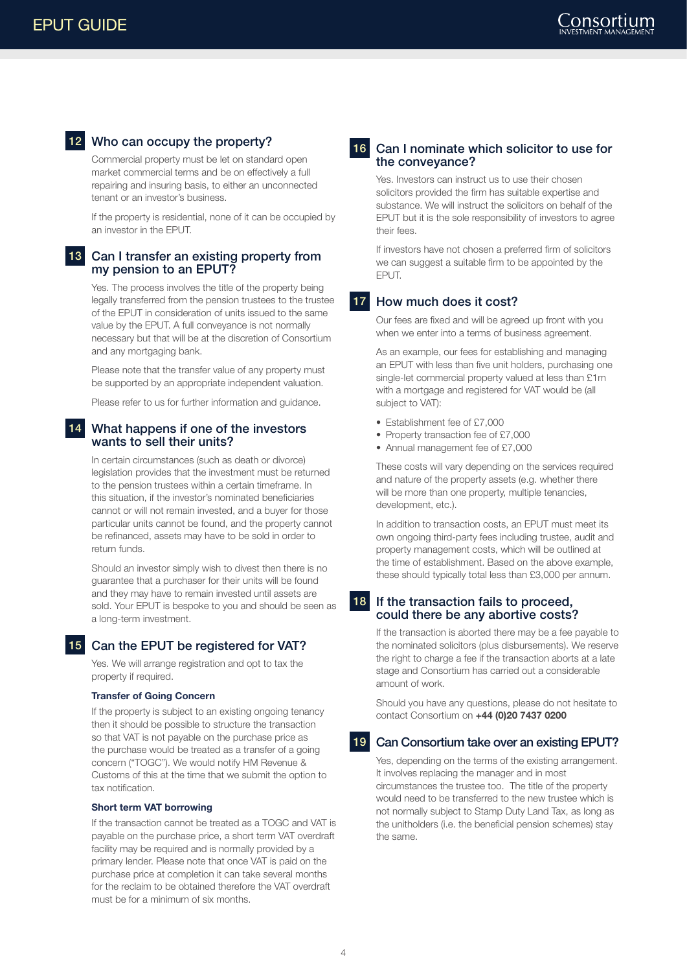## 12 Who can occupy the property?

Commercial property must be let on standard open market commercial terms and be on effectively a full repairing and insuring basis, to either an unconnected tenant or an investor's business.

If the property is residential, none of it can be occupied by an investor in the EPUT.

#### 13 Can I transfer an existing property from my pension to an EPUT?

Yes. The process involves the title of the property being legally transferred from the pension trustees to the trustee of the EPUT in consideration of units issued to the same value by the EPUT. A full conveyance is not normally necessary but that will be at the discretion of Consortium and any mortgaging bank.

Please note that the transfer value of any property must be supported by an appropriate independent valuation.

Please refer to us for further information and guidance.

#### What happens if one of the investors wants to sell their units?

In certain circumstances (such as death or divorce) legislation provides that the investment must be returned to the pension trustees within a certain timeframe. In this situation, if the investor's nominated beneficiaries cannot or will not remain invested, and a buyer for those particular units cannot be found, and the property cannot be refinanced, assets may have to be sold in order to return funds.

Should an investor simply wish to divest then there is no guarantee that a purchaser for their units will be found and they may have to remain invested until assets are sold. Your EPUT is bespoke to you and should be seen as a long-term investment.

#### 15 Can the EPUT be registered for VAT?

Yes. We will arrange registration and opt to tax the property if required.

#### **Transfer of Going Concern**

If the property is subject to an existing ongoing tenancy then it should be possible to structure the transaction so that VAT is not payable on the purchase price as the purchase would be treated as a transfer of a going concern ("TOGC"). We would notify HM Revenue & Customs of this at the time that we submit the option to tax notification.

#### **Short term VAT borrowing**

If the transaction cannot be treated as a TOGC and VAT is payable on the purchase price, a short term VAT overdraft facility may be required and is normally provided by a primary lender. Please note that once VAT is paid on the purchase price at completion it can take several months for the reclaim to be obtained therefore the VAT overdraft must be for a minimum of six months.

#### 16 Can I nominate which solicitor to use for the conveyance?

Yes. Investors can instruct us to use their chosen solicitors provided the firm has suitable expertise and substance. We will instruct the solicitors on behalf of the EPUT but it is the sole responsibility of investors to agree their fees.

If investors have not chosen a preferred firm of solicitors we can suggest a suitable firm to be appointed by the **FPUT.** 

### 17 How much does it cost?

Our fees are fixed and will be agreed up front with you when we enter into a terms of business agreement.

As an example, our fees for establishing and managing an EPUT with less than five unit holders, purchasing one single-let commercial property valued at less than £1m with a mortgage and registered for VAT would be (all subject to VAT):

- Establishment fee of £7,000
- Property transaction fee of £7,000
- Annual management fee of £7,000

These costs will vary depending on the services required and nature of the property assets (e.g. whether there will be more than one property, multiple tenancies, development, etc.).

In addition to transaction costs, an EPUT must meet its own ongoing third-party fees including trustee, audit and property management costs, which will be outlined at the time of establishment. Based on the above example, these should typically total less than £3,000 per annum.

#### 18 If the transaction fails to proceed, could there be any abortive costs?

If the transaction is aborted there may be a fee payable to the nominated solicitors (plus disbursements). We reserve the right to charge a fee if the transaction aborts at a late stage and Consortium has carried out a considerable amount of work.

Should you have any questions, please do not hesitate to contact Consortium on **+44 (0)20 7437 0200**

#### 19 Can Consortium take over an existing EPUT?

Yes, depending on the terms of the existing arrangement. It involves replacing the manager and in most circumstances the trustee too. The title of the property would need to be transferred to the new trustee which is not normally subject to Stamp Duty Land Tax, as long as the unitholders (i.e. the beneficial pension schemes) stay the same.